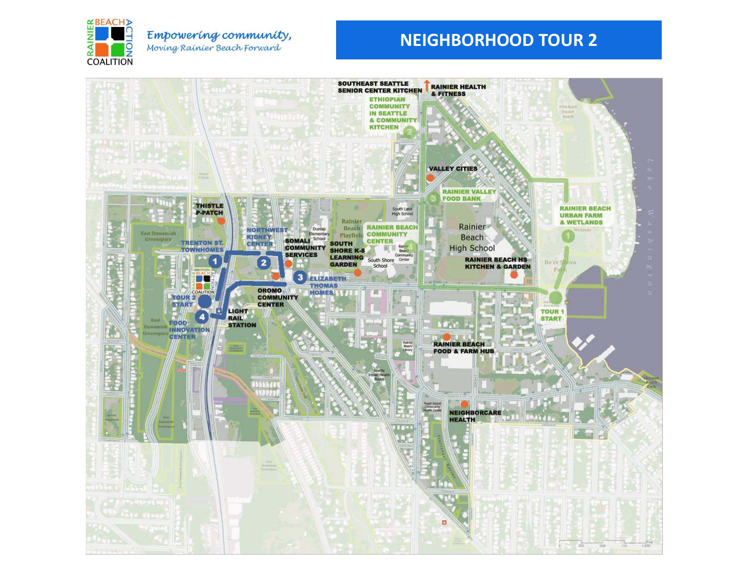

## Empowering community, Moving Rainier Beach Forward

# **NEIGHBORHOOD TOUR 2**